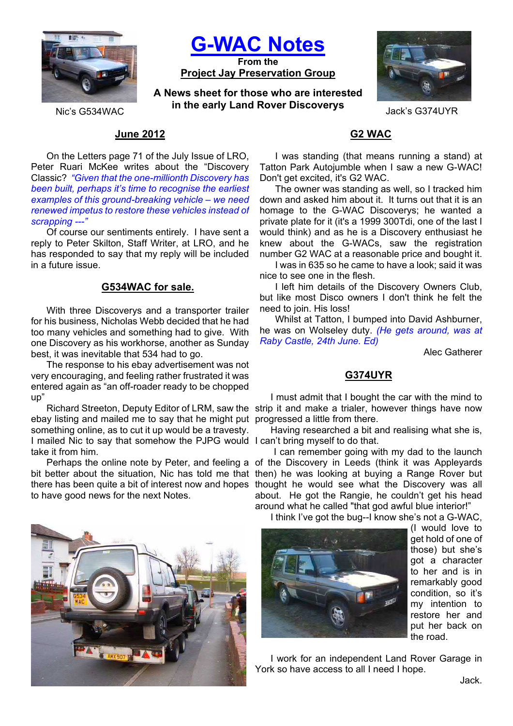

**G-WAC Notes**

**From the Project Jay Preservation Group**

**A News sheet for those who are interested in the early Land Rover Discoverys** Jack's G374UYR<br>Nic's G534WAC



## **June 2012**

On the Letters page 71 of the July Issue of LRO, Peter Ruari McKee writes about the "Discovery Classic? *"Given that the one-millionth Discovery has been built, perhaps it's time to recognise the earliest examples of this ground-breaking vehicle – we need renewed impetus to restore these vehicles instead of scrapping ---"*

Of course our sentiments entirely. I have sent a reply to Peter Skilton, Staff Writer, at LRO, and he has responded to say that my reply will be included in a future issue.

## **G534WAC for sale.**

With three Discoverys and a transporter trailer for his business, Nicholas Webb decided that he had too many vehicles and something had to give. With one Discovery as his workhorse, another as Sunday best, it was inevitable that 534 had to go.

The response to his ebay advertisement was not very encouraging, and feeling rather frustrated it was entered again as "an off-roader ready to be chopped up"

ebay listing and mailed me to say that he might put progressed a little from there. I mailed Nic to say that somehow the PJPG would I can't bring myself to do that. something online, as to cut it up would be a travesty. take it from him.

to have good news for the next Notes.



## **G2 WAC**

I was standing (that means running a stand) at Tatton Park Autojumble when I saw a new G-WAC! Don't get excited, it's G2 WAC.

The owner was standing as well, so I tracked him down and asked him about it. It turns out that it is an homage to the G-WAC Discoverys; he wanted a private plate for it (it's a 1999 300Tdi, one of the last I would think) and as he is a Discovery enthusiast he knew about the G-WACs, saw the registration number G2 WAC at a reasonable price and bought it.

I was in 635 so he came to have a look; said it was nice to see one in the flesh.

I left him details of the Discovery Owners Club, but like most Disco owners I don't think he felt the need to join. His loss!

Whilst at Tatton, I bumped into David Ashburner, he was on Wolseley duty. *(He gets around, was at Raby Castle, 24th June. Ed)*

Alec Gatherer

### **G374UYR**

I must admit that I bought the car with the mind to Richard Streeton, Deputy Editor of LRM, saw the strip it and make a trialer, however things have now

Having researched a bit and realising what she is,

I can remember going with my dad to the launch Perhaps the online note by Peter, and feeling a of the Discovery in Leeds (think it was Appleyards bit better about the situation, Nic has told me that then) he was looking at buying a Range Rover but there has been quite a bit of interest now and hopes thought he would see what the Discovery was all about. He got the Rangie, he couldn't get his head around what he called "that god awful blue interior!"

I think I've got the bug--I know she's not a G-WAC,



(I would love to get hold of one of those) but she's got a character to her and is in remarkably good condition, so it's my intention to restore her and put her back on the road.

I work for an independent Land Rover Garage in York so have access to all I need I hope.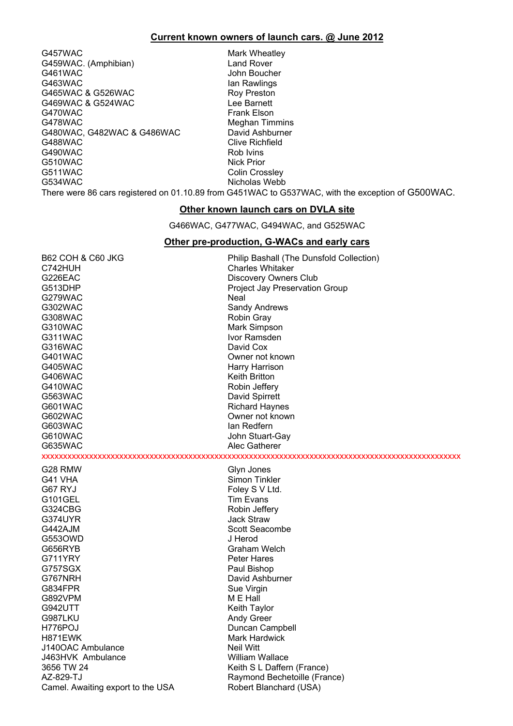#### **Current known owners of launch cars. @ June 2012**

G457WAC Mark Wheatley G459WAC. (Amphibian) Land Rover<br>
G461WAC G461WAC COMPUTE: UNIT G461WAC John Boucher<br>G463WAC Jan Rawlings G465WAC & G526WAC <br>G469WAC & G524WAC CONFIDENTIAL Lee Barnett G469WAC & G524WAC G470WAC Frank Elson G478WAC Meghan Timmins G480WAC, G482WAC & G486WAC David Ashburner G488WAC Clive Richfield G490WAC Rob Ivins G510WAC Nick Prior G511WAC Colin Crossley G534WAC Nicholas Webb

Ian Rawlings

There were 86 cars registered on 01.10.89 from G451WAC to G537WAC, with the exception of G500WAC.

#### **Other known launch cars on DVLA site**

G466WAC, G477WAC, G494WAC, and G525WAC

#### **Other pre-production, G-WACs and early cars**

| <b>B62 COH &amp; C60 JKG</b>      | Philip Bashall (The Dunsfold Collection) |
|-----------------------------------|------------------------------------------|
| C742HUH                           | <b>Charles Whitaker</b>                  |
| G226EAC                           | <b>Discovery Owners Club</b>             |
| G513DHP                           | Project Jay Preservation Group           |
| G279WAC                           | Neal                                     |
| G302WAC                           | Sandy Andrews                            |
| G308WAC                           | Robin Gray                               |
| G310WAC                           | Mark Simpson                             |
| G311WAC                           | Ivor Ramsden                             |
| G316WAC                           | David Cox                                |
| G401WAC                           | Owner not known                          |
| G405WAC                           | Harry Harrison                           |
| G406WAC                           | Keith Britton                            |
| G410WAC                           | Robin Jeffery                            |
| G563WAC                           | David Spirrett                           |
| G601WAC                           | <b>Richard Haynes</b>                    |
| G602WAC                           | Owner not known                          |
| G603WAC                           | lan Redfern                              |
| G610WAC                           | John Stuart-Gay                          |
| G635WAC                           | Alec Gatherer                            |
|                                   |                                          |
| G28 RMW                           | Glyn Jones                               |
| G41 VHA                           | Simon Tinkler                            |
| G67 RYJ                           | Foley S V Ltd.                           |
| G101GEL                           | Tim Evans                                |
| G324CBG                           | Robin Jeffery                            |
| G374UYR                           | Jack Straw                               |
| G442AJM                           | Scott Seacombe                           |
| G5530WD                           | J Herod                                  |
| G656RYB                           | Graham Welch                             |
| G711YRY                           | Peter Hares                              |
| G757SGX                           | Paul Bishop                              |
| G767NRH                           | David Ashburner                          |
| G834FPR                           | Sue Virgin                               |
| G892VPM                           | M E Hall                                 |
| G942UTT                           | Keith Taylor                             |
| G987LKU                           | <b>Andy Greer</b>                        |
| H776POJ                           | Duncan Campbell                          |
| H871EWK                           | Mark Hardwick                            |
| J140OAC Ambulance                 | Neil Witt                                |
| J463HVK Ambulance                 | William Wallace                          |
| 3656 TW 24                        | Keith S L Daffern (France)               |
| AZ-829-TJ                         | Raymond Bechetoille (France)             |
| Camel. Awaiting export to the USA | Robert Blanchard (USA)                   |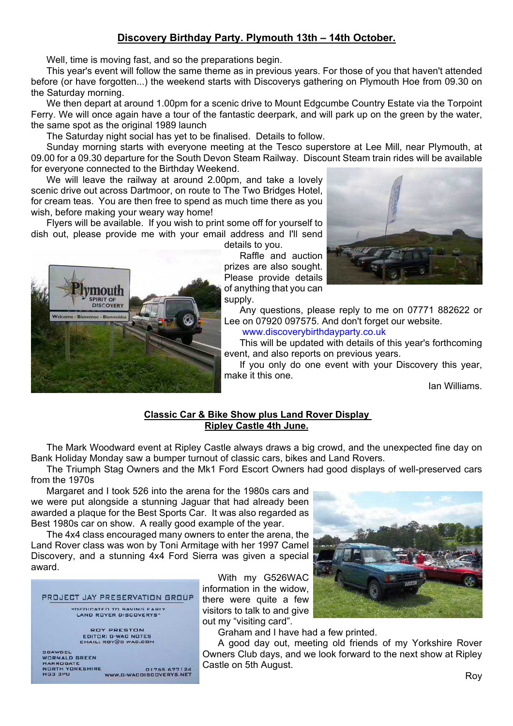## **Discovery Birthday Party. Plymouth 13th – 14th October.**

Well, time is moving fast, and so the preparations begin.

This year's event will follow the same theme as in previous years. For those of you that haven't attended before (or have forgotten...) the weekend starts with Discoverys gathering on Plymouth Hoe from 09.30 on the Saturday morning.

We then depart at around 1.00pm for a scenic drive to Mount Edgcumbe Country Estate via the Torpoint Ferry. We will once again have a tour of the fantastic deerpark, and will park up on the green by the water, the same spot as the original 1989 launch

The Saturday night social has yet to be finalised. Details to follow.

Sunday morning starts with everyone meeting at the Tesco superstore at Lee Mill, near Plymouth, at 09.00 for a 09.30 departure for the South Devon Steam Railway. Discount Steam train rides will be available for everyone connected to the Birthday Weekend.

We will leave the railway at around 2.00pm, and take a lovely scenic drive out across Dartmoor, on route to The Two Bridges Hotel, for cream teas. You are then free to spend as much time there as you wish, before making your weary way home!

Flyers will be available. If you wish to print some off for yourself to dish out, please provide me with your email address and I'll send



prizes are also sought. Please provide details of anything that you can supply.



Any questions, please reply to me on 07771 882622 or Lee on 07920 097575. And don't forget our website.

www.discoverybirthdayparty.co.uk

This will be updated with details of this year's forthcoming event, and also reports on previous years.

If you only do one event with your Discovery this year, make it this one.

Ian Williams.

## **Classic Car & Bike Show plus Land Rover Display Ripley Castle 4th June.**

The Mark Woodward event at Ripley Castle always draws a big crowd, and the unexpected fine day on Bank Holiday Monday saw a bumper turnout of classic cars, bikes and Land Rovers.

The Triumph Stag Owners and the Mk1 Ford Escort Owners had good displays of well-preserved cars from the 1970s

Margaret and I took 526 into the arena for the 1980s cars and we were put alongside a stunning Jaguar that had already been awarded a plaque for the Best Sports Car. It was also regarded as Best 1980s car on show. A really good example of the year.

The 4x4 class encouraged many owners to enter the arena, the Land Rover class was won by Toni Armitage with her 1997 Camel Discovery, and a stunning 4x4 Ford Sierra was given a special award.



mouth SPIRIT OF DISCOVERY

 $B1<sub>o</sub>$ 

With my G526WAC information in the widow, there were quite a few visitors to talk to and give out my "visiting card".



Graham and I have had a few printed.

A good day out, meeting old friends of my Yorkshire Rover Owners Club days, and we look forward to the next show at Ripley Castle on 5th August.